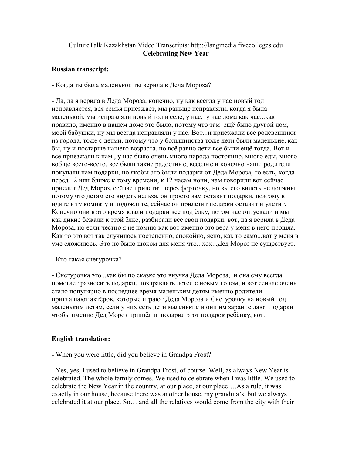## CultureTalk Kazakhstan Video Transcripts: http://langmedia.fivecolleges.edu Celebrating New Year

## Russian transcript:

- Когда ты была маленькой ты верила в Деда Мороза?

- Да, да я верила в Деда Мороза, конечно, ну как всегда у нас новый год исправляется, вся семья приезжает, мы раньще исправляли, когда я была маленькой, мы исправляли новый год в селе, у нас, у нас дома как час...как правило, именно в нашем доме это было, потому что там ещё было другой дом, моей бабушки, ну мы всегда исправляли у нас. Вот...и приезжали все родсвенники из города, тоже с детми, потому что у большинства тоже дети были маленькие, как бы, ну и постарше нашего возраста, но всё равно дети все были ещё тогда. Вот и все приезжали к нам , у нас было очень много народа постоянно, много еды, много вобще всего-всего, все были такие радостные, весёлые и конечно наши родители покупали нам подарки, но якобы это были подарки от Деда Мороза, то есть, когда перед 12 или ближе к тому времени, к 12 часам ночи, нам говорили вот сейчас приедит Дед Мороз, сейчас прилетит через форточку, но вы его видеть не должны, потому что детям его видеть нельзя, он просто вам оставит подарки, поэтому в идите в ту комнату и подождите, сейчас он прилетит подарки оставит и улетит. Конечно они в это время клали подарки все под ёлку, потом нас отпускали и мы как дикие бежали к этой ёлке, разбирали все свои подарки, вот, да я верила в Деда Мороза, но если честно я не помню как вот именно это вера у меня в него прошла. Как то это вот так случилось постепенно, спокойно, ясно, как то само...вот у меня в уме сложилось. Это не было шоком для меня что...хох...Дед Мороз не существует.

- Кто такая снегурочка?

- Снегурочка это...как бы по сказке это внучка Деда Мороза, и она ему всегда помогает разносить подарки, поздравлять детей с новым годом, и вот сейчас очень стало популярно в последнее время маленьким детям именно родители приглашают актёров, которые играют Деда Мороза и Снегурочку на новый год маленьким детям, если у них есть дети маленькие и они им зарание дают подарки чтобы именно Дед Мороз пришёл и подарил этот подарок ребёнку, вот.

## English translation:

- When you were little, did you believe in Grandpa Frost?

- Yes, yes, I used to believe in Grandpa Frost, of course. Well, as always New Year is celebrated. The whole family comes. We used to celebrate when I was little. We used to celebrate the New Year in the country, at our place, at our place….As a rule, it was exactly in our house, because there was another house, my grandma's, but we always celebrated it at our place. So… and all the relatives would come from the city with their